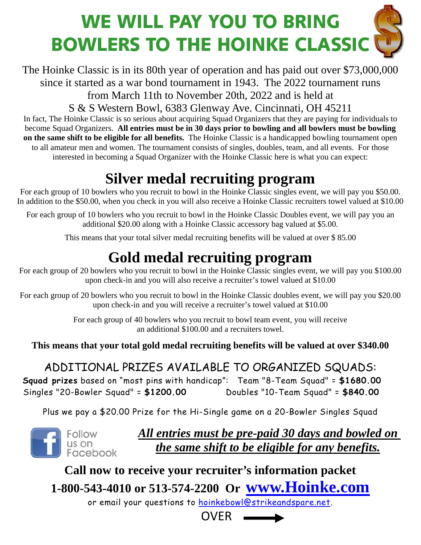# WE WILL PAY YOU TO BRING BOWLERS TO THE HOINKE CLASSIC

The Hoinke Classic is in its 80th year of operation and has paid out over \$73,000,000 since it started as a war bond tournament in 1943. The 2022 tournament runs

from March 11th to November 20th, 2022 and is held at

S & S Western Bowl, 6383 Glenway Ave. Cincinnati, OH 45211

In fact, The Hoinke Classic is so serious about acquiring Squad Organizers that they are paying for individuals to become Squad Organizers. **All entries must be in 30 days prior to bowling and all bowlers must be bowling on the same shift to be eligible for all benefits.** The Hoinke Classic is a handicapped bowling tournament open to all amateur men and women. The tournament consists of singles, doubles, team, and all events. For those interested in becoming a Squad Organizer with the Hoinke Classic here is what you can expect:

# **Silver medal recruiting program**

For each group of 10 bowlers who you recruit to bowl in the Hoinke Classic singles event, we will pay you \$50.00. In addition to the \$50.00, when you check in you will also receive a Hoinke Classic recruiters towel valued at \$10.00

For each group of 10 bowlers who you recruit to bowl in the Hoinke Classic Doubles event, we will pay you an additional \$20.00 along with a Hoinke Classic accessory bag valued at \$5.00.

This means that your total silver medal recruiting benefits will be valued at over \$ 85.00

## **Gold medal recruiting program**

For each group of 20 bowlers who you recruit to bowl in the Hoinke Classic singles event, we will pay you \$100.00 upon check-in and you will also receive a recruiter's towel valued at \$10.00

For each group of 20 bowlers who you recruit to bowl in the Hoinke Classic doubles event, we will pay you \$20.00 upon check-in and you will receive a recruiter's towel valued at \$10.00

> For each group of 40 bowlers who you recruit to bowl team event, you will receive an additional \$100.00 and a recruiters towel.

**This means that your total gold medal recruiting benefits will be valued at over \$340.00** 

### ADDITIONAL PRIZES AVAILABLE TO ORGANIZED SQUADS:

 **Squad prizes** based on "most pins with handicap": Team "8-Team Squad" = **\$1680.00** Singles "20-Bowler Squad" = **\$1200.00** Doubles "10-Team Squad" = **\$840.00**

Plus we pay a \$20.00 Prize for the Hi-Single game on a 20-Bowler Singles Squad



*All entries must be pre-paid 30 days and bowled on the same shift to be eligible for any benefits.*

**Call now to receive your recruiter's information packet 1-800-543-4010 or 513-574-2200 Or [www.Hoinke.com](http://www.hoinke.com/)**

or email your questions to [hoinkebowl@strikeandspare.net.](mailto:hoinkebowl@sasfe.com)